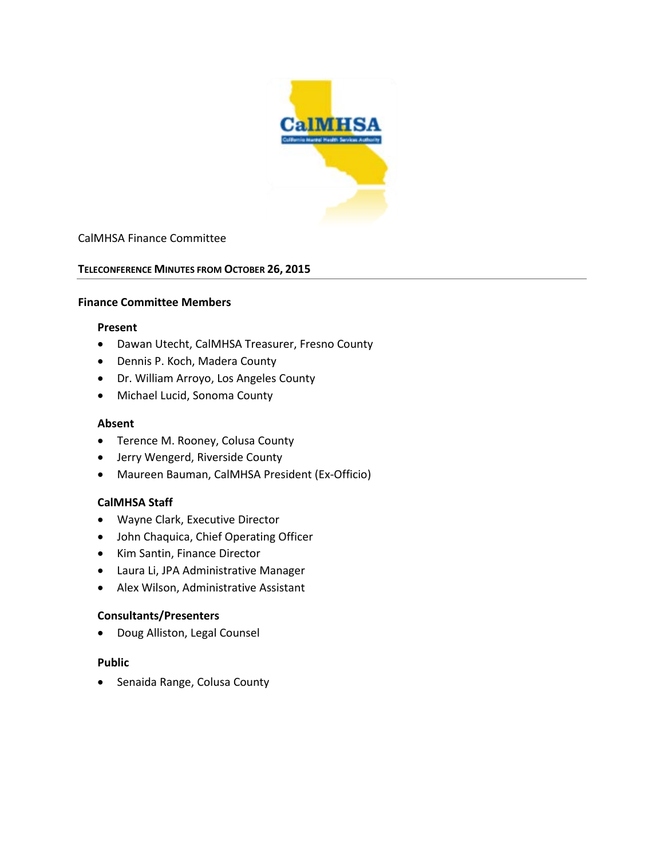

## CalMHSA Finance Committee

### **TELECONFERENCE MINUTES FROM OCTOBER 26, 2015**

### **Finance Committee Members**

#### **Present**

- Dawan Utecht, CalMHSA Treasurer, Fresno County
- Dennis P. Koch, Madera County
- Dr. William Arroyo, Los Angeles County
- Michael Lucid, Sonoma County

#### **Absent**

- Terence M. Rooney, Colusa County
- Jerry Wengerd, Riverside County
- Maureen Bauman, CalMHSA President (Ex-Officio)

### **CalMHSA Staff**

- Wayne Clark, Executive Director
- John Chaquica, Chief Operating Officer
- Kim Santin, Finance Director
- Laura Li, JPA Administrative Manager
- Alex Wilson, Administrative Assistant

### **Consultants/Presenters**

• Doug Alliston, Legal Counsel

### **Public**

• Senaida Range, Colusa County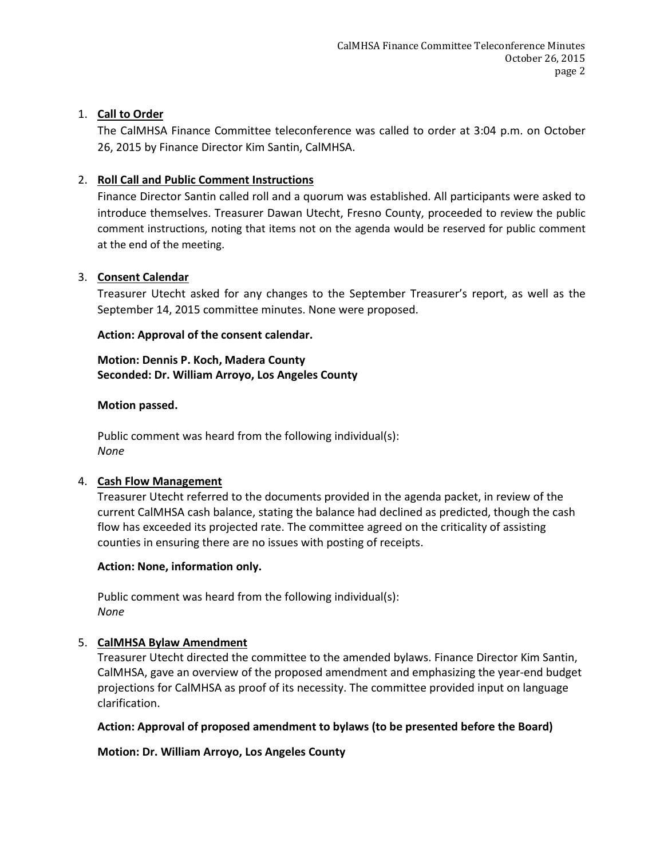# 1. **Call to Order**

The CalMHSA Finance Committee teleconference was called to order at 3:04 p.m. on October 26, 2015 by Finance Director Kim Santin, CalMHSA.

# 2. **Roll Call and Public Comment Instructions**

Finance Director Santin called roll and a quorum was established. All participants were asked to introduce themselves. Treasurer Dawan Utecht, Fresno County, proceeded to review the public comment instructions, noting that items not on the agenda would be reserved for public comment at the end of the meeting.

## 3. **Consent Calendar**

Treasurer Utecht asked for any changes to the September Treasurer's report, as well as the September 14, 2015 committee minutes. None were proposed.

## **Action: Approval of the consent calendar.**

# **Motion: Dennis P. Koch, Madera County Seconded: Dr. William Arroyo, Los Angeles County**

### **Motion passed.**

Public comment was heard from the following individual(s): *None*

## 4. **Cash Flow Management**

Treasurer Utecht referred to the documents provided in the agenda packet, in review of the current CalMHSA cash balance, stating the balance had declined as predicted, though the cash flow has exceeded its projected rate. The committee agreed on the criticality of assisting counties in ensuring there are no issues with posting of receipts.

### **Action: None, information only.**

Public comment was heard from the following individual(s): *None*

## 5. **CalMHSA Bylaw Amendment**

Treasurer Utecht directed the committee to the amended bylaws. Finance Director Kim Santin, CalMHSA, gave an overview of the proposed amendment and emphasizing the year-end budget projections for CalMHSA as proof of its necessity. The committee provided input on language clarification.

## **Action: Approval of proposed amendment to bylaws (to be presented before the Board)**

**Motion: Dr. William Arroyo, Los Angeles County**